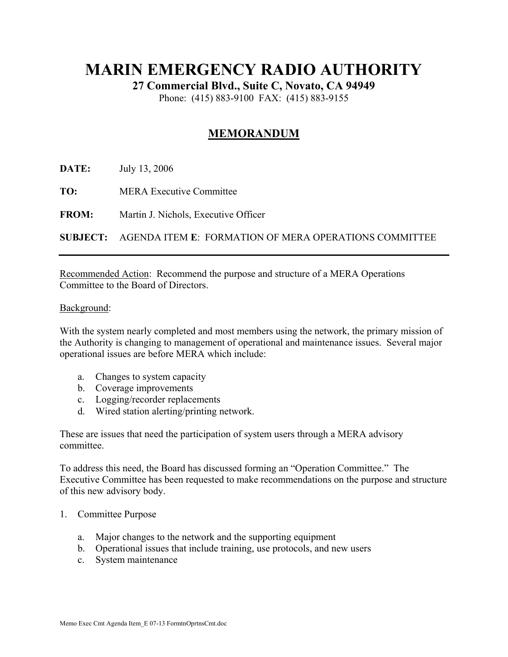## **MARIN EMERGENCY RADIO AUTHORITY**

**27 Commercial Blvd., Suite C, Novato, CA 94949** 

Phone: (415) 883-9100 FAX: (415) 883-9155

## **MEMORANDUM**

**DATE:** July 13, 2006

**TO:** MERA Executive Committee

**FROM:** Martin J. Nichols, Executive Officer

**SUBJECT:** AGENDA ITEM **E**: FORMATION OF MERA OPERATIONS COMMITTEE

Recommended Action: Recommend the purpose and structure of a MERA Operations Committee to the Board of Directors.

## Background:

With the system nearly completed and most members using the network, the primary mission of the Authority is changing to management of operational and maintenance issues. Several major operational issues are before MERA which include:

- a. Changes to system capacity
- b. Coverage improvements
- c. Logging/recorder replacements
- d. Wired station alerting/printing network.

These are issues that need the participation of system users through a MERA advisory committee.

To address this need, the Board has discussed forming an "Operation Committee." The Executive Committee has been requested to make recommendations on the purpose and structure of this new advisory body.

## 1. Committee Purpose

- a. Major changes to the network and the supporting equipment
- b. Operational issues that include training, use protocols, and new users
- c. System maintenance